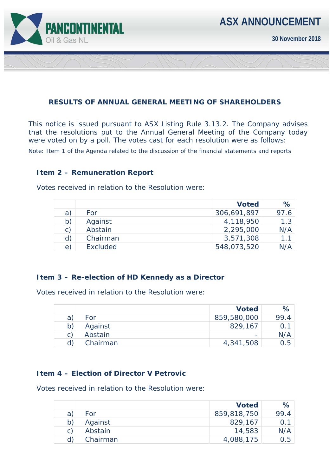

**30 November 2018** 

### **RESULTS OF ANNUAL GENERAL MEETING OF SHAREHOLDERS**

This notice is issued pursuant to ASX Listing Rule 3.13.2. The Company advises that the resolutions put to the Annual General Meeting of the Company today were voted on by a poll. The votes cast for each resolution were as follows:

*Note: Item 1 of the Agenda related to the discussion of the financial statements and reports* 

#### **Item 2 – Remuneration Report**

Votes received in relation to the Resolution were:

|              |          | <b>Voted</b> | ℅    |
|--------------|----------|--------------|------|
| a)           | For      | 306,691,897  | 97.6 |
| b)           | Against  | 4,118,950    | 1.3  |
| $\mathsf{C}$ | Abstain  | 2,295,000    | N/A  |
| d)           | Chairman | 3,571,308    | 11   |
| $\epsilon$   | Excluded | 548,073,520  | N/A  |

#### **Item 3 – Re-election of HD Kennedy as a Director**

Votes received in relation to the Resolution were:

|              |          | <b>Voted</b>             | $\%$ |
|--------------|----------|--------------------------|------|
| a            | For      | 859,580,000              | 99.4 |
| $\mathsf{b}$ | Against  | 829,167                  |      |
| C)           | Abstain  | $\overline{\phantom{0}}$ | N/A  |
|              | Chairman | 4,341,508                | 0.5  |

#### **Item 4 – Election of Director V Petrovic**

Votes received in relation to the Resolution were:

|   |          | <b>Voted</b> | $\%$ |
|---|----------|--------------|------|
| a | For      | 859,818,750  | 99.4 |
|   | Against  | 829,167      |      |
|   | Abstain  | 14,583       | N/A  |
|   | Chairman | 4,088,175    | 0.5  |